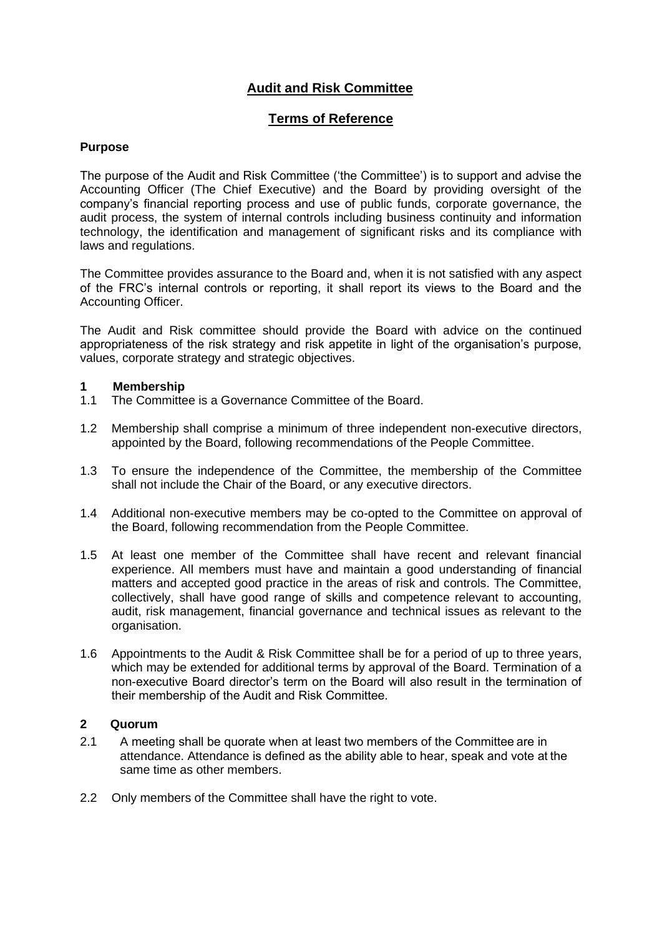# **Audit and Risk Committee**

## **Terms of Reference**

### **Purpose**

The purpose of the Audit and Risk Committee ('the Committee') is to support and advise the Accounting Officer (The Chief Executive) and the Board by providing oversight of the company's financial reporting process and use of public funds, corporate governance, the audit process, the system of internal controls including business continuity and information technology, the identification and management of significant risks and its compliance with laws and regulations.

The Committee provides assurance to the Board and, when it is not satisfied with any aspect of the FRC's internal controls or reporting, it shall report its views to the Board and the Accounting Officer.

The Audit and Risk committee should provide the Board with advice on the continued appropriateness of the risk strategy and risk appetite in light of the organisation's purpose, values, corporate strategy and strategic objectives.

### **1 Membership**

- 1.1 The Committee is a Governance Committee of the Board.
- 1.2 Membership shall comprise a minimum of three independent non-executive directors, appointed by the Board, following recommendations of the People Committee.
- 1.3 To ensure the independence of the Committee, the membership of the Committee shall not include the Chair of the Board, or any executive directors.
- 1.4 Additional non-executive members may be co-opted to the Committee on approval of the Board, following recommendation from the People Committee.
- 1.5 At least one member of the Committee shall have recent and relevant financial experience. All members must have and maintain a good understanding of financial matters and accepted good practice in the areas of risk and controls. The Committee, collectively, shall have good range of skills and competence relevant to accounting, audit, risk management, financial governance and technical issues as relevant to the organisation.
- 1.6 Appointments to the Audit & Risk Committee shall be for a period of up to three years, which may be extended for additional terms by approval of the Board. Termination of a non-executive Board director's term on the Board will also result in the termination of their membership of the Audit and Risk Committee.

### **2 Quorum**

- 2.1 A meeting shall be quorate when at least two members of the Committee are in attendance. Attendance is defined as the ability able to hear, speak and vote at the same time as other members.
- 2.2 Only members of the Committee shall have the right to vote.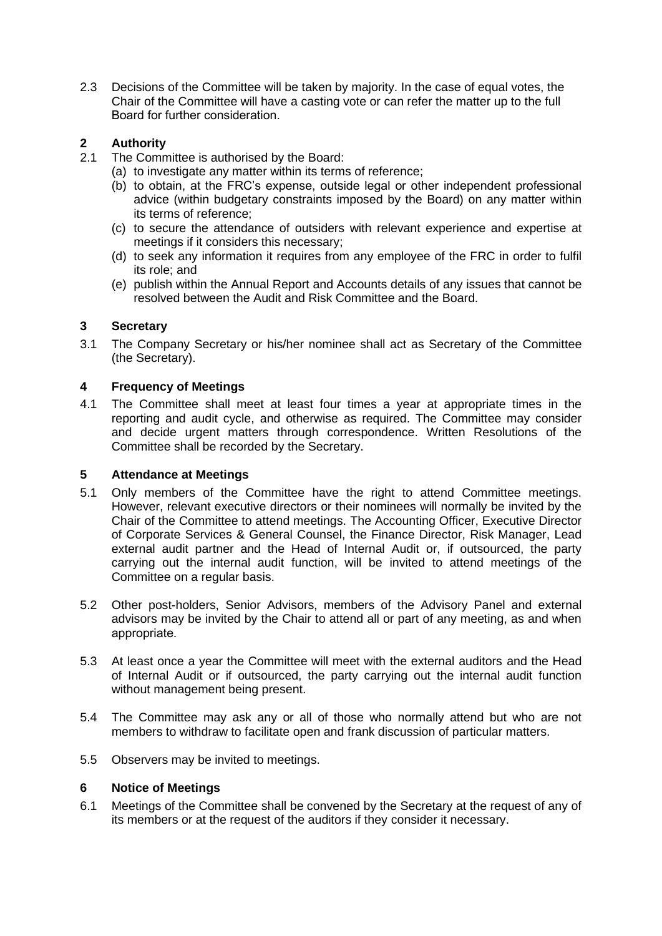2.3 Decisions of the Committee will be taken by majority. In the case of equal votes, the Chair of the Committee will have a casting vote or can refer the matter up to the full Board for further consideration.  

## **2 Authority**

- 2.1 The Committee is authorised by the Board:
	- (a) to investigate any matter within its terms of reference;
	- (b) to obtain, at the FRC's expense, outside legal or other independent professional advice (within budgetary constraints imposed by the Board) on any matter within its terms of reference;
	- (c) to secure the attendance of outsiders with relevant experience and expertise at meetings if it considers this necessary;
	- (d) to seek any information it requires from any employee of the FRC in order to fulfil its role; and
	- (e) publish within the Annual Report and Accounts details of any issues that cannot be resolved between the Audit and Risk Committee and the Board.

### **3 Secretary**

3.1 The Company Secretary or his/her nominee shall act as Secretary of the Committee (the Secretary).

### **4 Frequency of Meetings**

4.1 The Committee shall meet at least four times a year at appropriate times in the reporting and audit cycle, and otherwise as required. The Committee may consider and decide urgent matters through correspondence. Written Resolutions of the Committee shall be recorded by the Secretary.

### **5 Attendance at Meetings**

- 5.1 Only members of the Committee have the right to attend Committee meetings. However, relevant executive directors or their nominees will normally be invited by the Chair of the Committee to attend meetings. The Accounting Officer, Executive Director of Corporate Services & General Counsel, the Finance Director, Risk Manager, Lead external audit partner and the Head of Internal Audit or, if outsourced, the party carrying out the internal audit function, will be invited to attend meetings of the Committee on a regular basis.
- 5.2 Other post-holders, Senior Advisors, members of the Advisory Panel and external advisors may be invited by the Chair to attend all or part of any meeting, as and when appropriate.
- 5.3 At least once a year the Committee will meet with the external auditors and the Head of Internal Audit or if outsourced, the party carrying out the internal audit function without management being present.
- 5.4 The Committee may ask any or all of those who normally attend but who are not members to withdraw to facilitate open and frank discussion of particular matters.
- 5.5 Observers may be invited to meetings.

### **6 Notice of Meetings**

6.1 Meetings of the Committee shall be convened by the Secretary at the request of any of its members or at the request of the auditors if they consider it necessary.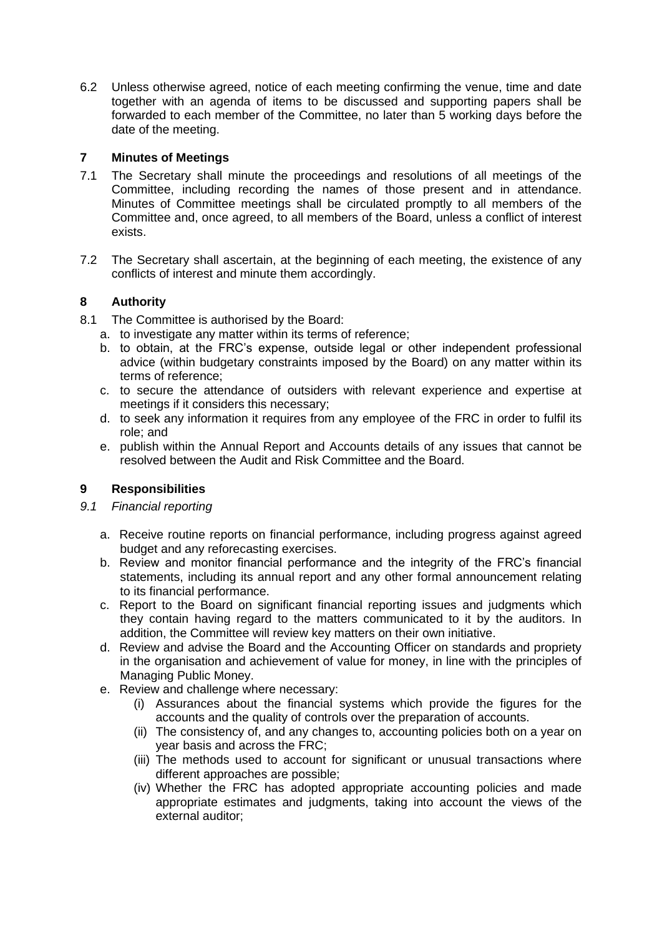6.2 Unless otherwise agreed, notice of each meeting confirming the venue, time and date together with an agenda of items to be discussed and supporting papers shall be forwarded to each member of the Committee, no later than 5 working days before the date of the meeting.

### **7 Minutes of Meetings**

- 7.1 The Secretary shall minute the proceedings and resolutions of all meetings of the Committee, including recording the names of those present and in attendance. Minutes of Committee meetings shall be circulated promptly to all members of the Committee and, once agreed, to all members of the Board, unless a conflict of interest exists.
- 7.2 The Secretary shall ascertain, at the beginning of each meeting, the existence of any conflicts of interest and minute them accordingly.

### **8 Authority**

- 8.1 The Committee is authorised by the Board:
	- a. to investigate any matter within its terms of reference;
	- b. to obtain, at the FRC's expense, outside legal or other independent professional advice (within budgetary constraints imposed by the Board) on any matter within its terms of reference;
	- c. to secure the attendance of outsiders with relevant experience and expertise at meetings if it considers this necessary;
	- d. to seek any information it requires from any employee of the FRC in order to fulfil its role; and
	- e. publish within the Annual Report and Accounts details of any issues that cannot be resolved between the Audit and Risk Committee and the Board.

## **9 Responsibilities**

### *9.1 Financial reporting*

- a. Receive routine reports on financial performance, including progress against agreed budget and any reforecasting exercises.
- b. Review and monitor financial performance and the integrity of the FRC's financial statements, including its annual report and any other formal announcement relating to its financial performance.
- c. Report to the Board on significant financial reporting issues and judgments which they contain having regard to the matters communicated to it by the auditors. In addition, the Committee will review key matters on their own initiative.
- d. Review and advise the Board and the Accounting Officer on standards and propriety in the organisation and achievement of value for money, in line with the principles of Managing Public Money.
- e. Review and challenge where necessary:
	- (i) Assurances about the financial systems which provide the figures for the accounts and the quality of controls over the preparation of accounts.
	- (ii) The consistency of, and any changes to, accounting policies both on a year on year basis and across the FRC;
	- (iii) The methods used to account for significant or unusual transactions where different approaches are possible;
	- (iv) Whether the FRC has adopted appropriate accounting policies and made appropriate estimates and judgments, taking into account the views of the external auditor;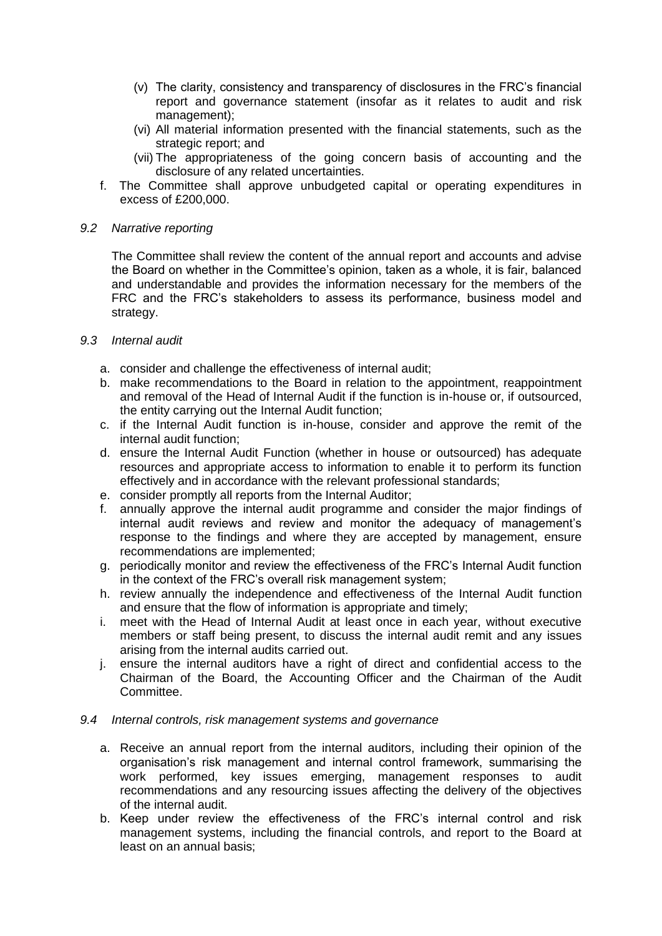- (v) The clarity, consistency and transparency of disclosures in the FRC's financial report and governance statement (insofar as it relates to audit and risk management);
- (vi) All material information presented with the financial statements, such as the strategic report; and
- (vii) The appropriateness of the going concern basis of accounting and the disclosure of any related uncertainties.
- f. The Committee shall approve unbudgeted capital or operating expenditures in excess of £200,000.

#### *9.2 Narrative reporting*

The Committee shall review the content of the annual report and accounts and advise the Board on whether in the Committee's opinion, taken as a whole, it is fair, balanced and understandable and provides the information necessary for the members of the FRC and the FRC's stakeholders to assess its performance, business model and strategy.

- *9.3 Internal audit*
	- a. consider and challenge the effectiveness of internal audit;
	- b. make recommendations to the Board in relation to the appointment, reappointment and removal of the Head of Internal Audit if the function is in-house or, if outsourced, the entity carrying out the Internal Audit function;
	- c. if the Internal Audit function is in-house, consider and approve the remit of the internal audit function;
	- d. ensure the Internal Audit Function (whether in house or outsourced) has adequate resources and appropriate access to information to enable it to perform its function effectively and in accordance with the relevant professional standards;
	- e. consider promptly all reports from the Internal Auditor;
	- f. annually approve the internal audit programme and consider the major findings of internal audit reviews and review and monitor the adequacy of management's response to the findings and where they are accepted by management, ensure recommendations are implemented;
	- g. periodically monitor and review the effectiveness of the FRC's Internal Audit function in the context of the FRC's overall risk management system;
	- h. review annually the independence and effectiveness of the Internal Audit function and ensure that the flow of information is appropriate and timely;
	- i. meet with the Head of Internal Audit at least once in each year, without executive members or staff being present, to discuss the internal audit remit and any issues arising from the internal audits carried out.
	- j. ensure the internal auditors have a right of direct and confidential access to the Chairman of the Board, the Accounting Officer and the Chairman of the Audit Committee.

#### *9.4 Internal controls, risk management systems and governance*

- a. Receive an annual report from the internal auditors, including their opinion of the organisation's risk management and internal control framework, summarising the work performed, key issues emerging, management responses to audit recommendations and any resourcing issues affecting the delivery of the objectives of the internal audit.
- b. Keep under review the effectiveness of the FRC's internal control and risk management systems, including the financial controls, and report to the Board at least on an annual basis;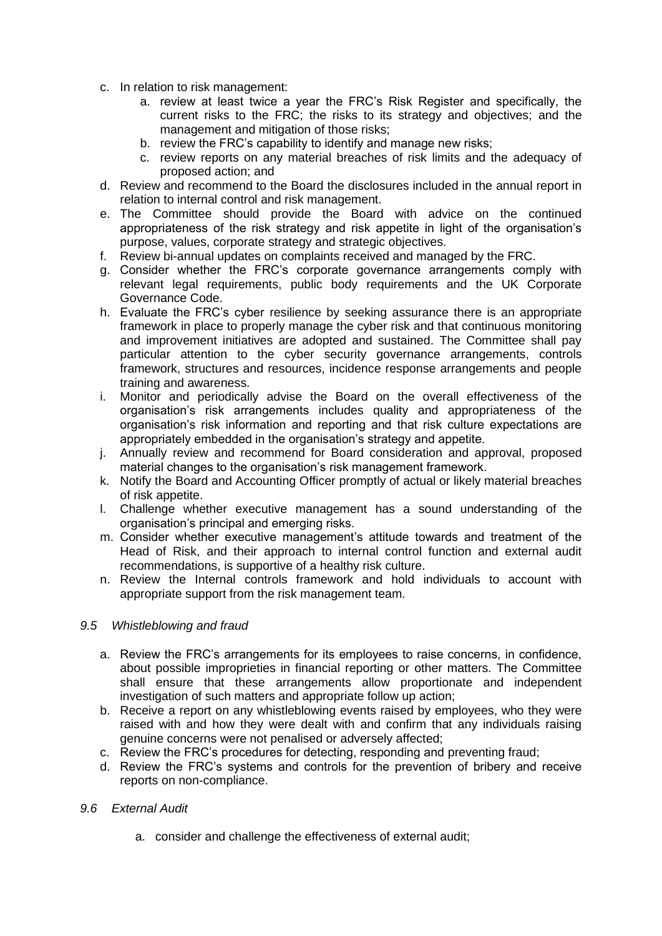- c. In relation to risk management:
	- a. review at least twice a year the FRC's Risk Register and specifically, the current risks to the FRC; the risks to its strategy and objectives; and the management and mitigation of those risks:
	- b. review the FRC's capability to identify and manage new risks;
	- c. review reports on any material breaches of risk limits and the adequacy of proposed action; and
- d. Review and recommend to the Board the disclosures included in the annual report in relation to internal control and risk management.
- e. The Committee should provide the Board with advice on the continued appropriateness of the risk strategy and risk appetite in light of the organisation's purpose, values, corporate strategy and strategic objectives.
- f. Review bi-annual updates on complaints received and managed by the FRC.
- g. Consider whether the FRC's corporate governance arrangements comply with relevant legal requirements, public body requirements and the UK Corporate Governance Code.
- h. Evaluate the FRC's cyber resilience by seeking assurance there is an appropriate framework in place to properly manage the cyber risk and that continuous monitoring and improvement initiatives are adopted and sustained. The Committee shall pay particular attention to the cyber security governance arrangements, controls framework, structures and resources, incidence response arrangements and people training and awareness.
- i. Monitor and periodically advise the Board on the overall effectiveness of the organisation's risk arrangements includes quality and appropriateness of the organisation's risk information and reporting and that risk culture expectations are appropriately embedded in the organisation's strategy and appetite.
- j. Annually review and recommend for Board consideration and approval, proposed material changes to the organisation's risk management framework.
- k. Notify the Board and Accounting Officer promptly of actual or likely material breaches of risk appetite.
- l. Challenge whether executive management has a sound understanding of the organisation's principal and emerging risks.
- m. Consider whether executive management's attitude towards and treatment of the Head of Risk, and their approach to internal control function and external audit recommendations, is supportive of a healthy risk culture.
- n. Review the Internal controls framework and hold individuals to account with appropriate support from the risk management team.

### *9.5 Whistleblowing and fraud*

- a. Review the FRC's arrangements for its employees to raise concerns, in confidence, about possible improprieties in financial reporting or other matters. The Committee shall ensure that these arrangements allow proportionate and independent investigation of such matters and appropriate follow up action;
- b. Receive a report on any whistleblowing events raised by employees, who they were raised with and how they were dealt with and confirm that any individuals raising genuine concerns were not penalised or adversely affected;
- c. Review the FRC's procedures for detecting, responding and preventing fraud;
- d. Review the FRC's systems and controls for the prevention of bribery and receive reports on non-compliance.

### *9.6 External Audit*

a. consider and challenge the effectiveness of external audit;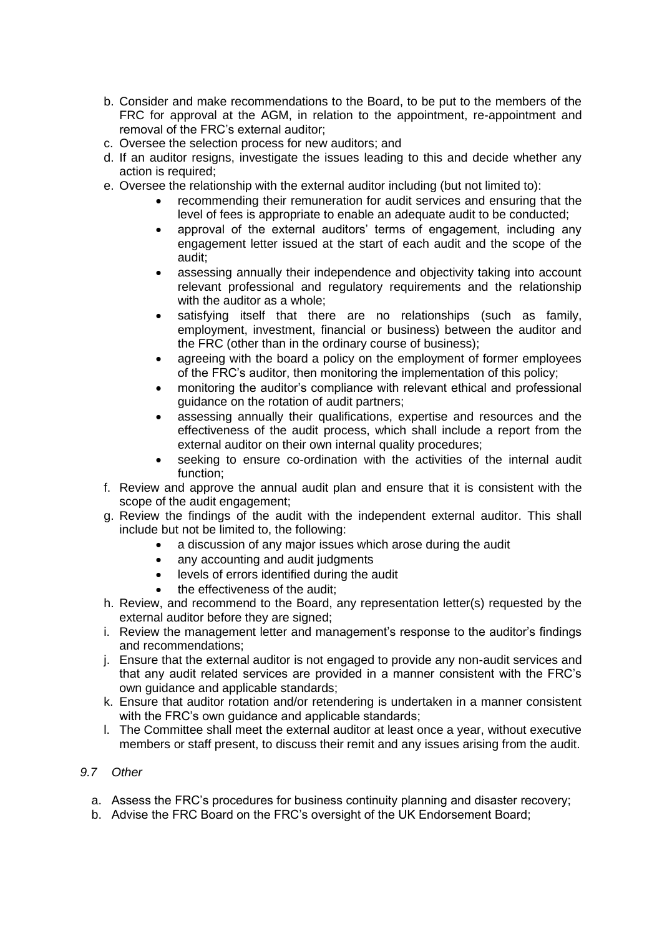- b. Consider and make recommendations to the Board, to be put to the members of the FRC for approval at the AGM, in relation to the appointment, re-appointment and removal of the FRC's external auditor;
- c. Oversee the selection process for new auditors; and
- d. If an auditor resigns, investigate the issues leading to this and decide whether any action is required;
- e. Oversee the relationship with the external auditor including (but not limited to):
	- recommending their remuneration for audit services and ensuring that the level of fees is appropriate to enable an adequate audit to be conducted;
	- approval of the external auditors' terms of engagement, including any engagement letter issued at the start of each audit and the scope of the audit;
	- assessing annually their independence and objectivity taking into account relevant professional and regulatory requirements and the relationship with the auditor as a whole;
	- satisfying itself that there are no relationships (such as family, employment, investment, financial or business) between the auditor and the FRC (other than in the ordinary course of business);
	- agreeing with the board a policy on the employment of former employees of the FRC's auditor, then monitoring the implementation of this policy;
	- monitoring the auditor's compliance with relevant ethical and professional guidance on the rotation of audit partners;
	- assessing annually their qualifications, expertise and resources and the effectiveness of the audit process, which shall include a report from the external auditor on their own internal quality procedures;
	- seeking to ensure co-ordination with the activities of the internal audit function;
- f. Review and approve the annual audit plan and ensure that it is consistent with the scope of the audit engagement;
- g. Review the findings of the audit with the independent external auditor. This shall include but not be limited to, the following:
	- a discussion of any major issues which arose during the audit
		- any accounting and audit judgments
		- levels of errors identified during the audit
		- the effectiveness of the audit;
- h. Review, and recommend to the Board, any representation letter(s) requested by the external auditor before they are signed:
- i. Review the management letter and management's response to the auditor's findings and recommendations;
- j. Ensure that the external auditor is not engaged to provide any non-audit services and that any audit related services are provided in a manner consistent with the FRC's own guidance and applicable standards;
- k. Ensure that auditor rotation and/or retendering is undertaken in a manner consistent with the FRC's own guidance and applicable standards;
- l. The Committee shall meet the external auditor at least once a year, without executive members or staff present, to discuss their remit and any issues arising from the audit.

### *9.7 Other*

- a. Assess the FRC's procedures for business continuity planning and disaster recovery;
- b. Advise the FRC Board on the FRC's oversight of the UK Endorsement Board;